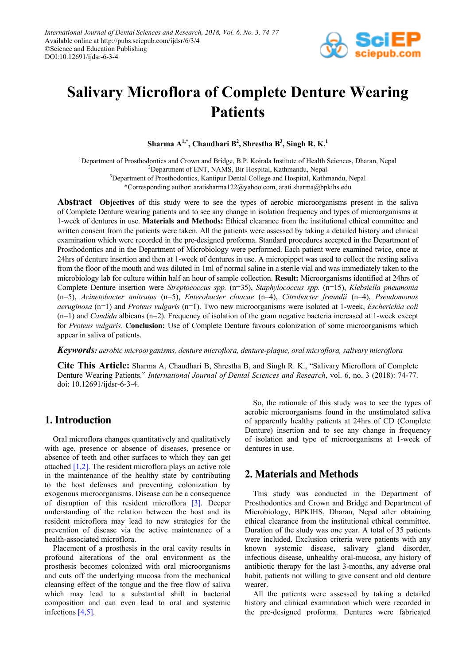

# **Salivary Microflora of Complete Denture Wearing Patients**

 $\mathbf{S}$ harma  $\mathbf{A}^{1,*}$ , Chaudhari  $\mathbf{B}^2$ , Shrestha  $\mathbf{B}^3$ , Singh R. K.<sup>1</sup>

<sup>1</sup>Department of Prosthodontics and Crown and Bridge, B.P. Koirala Institute of Health Sciences, Dharan, Nepal <sup>2</sup>Department of ENT, NAMS, Bir Hospital, Kathmandu, Nepal <sup>3</sup>Department of Prosthodontics, Kantipur Dental College and Hospital, Kathmandu, Nepal

\*Corresponding author: aratisharma122@yahoo.com, arati.sharma@bpkihs.edu

**Abstract Objectives** of this study were to see the types of aerobic microorganisms present in the saliva of Complete Denture wearing patients and to see any change in isolation frequency and types of microorganisms at 1-week of dentures in use. **Materials and Methods:** Ethical clearance from the institutional ethical committee and written consent from the patients were taken. All the patients were assessed by taking a detailed history and clinical examination which were recorded in the pre-designed proforma. Standard procedures accepted in the Department of Prosthodontics and in the Department of Microbiology were performed. Each patient were examined twice, once at 24hrs of denture insertion and then at 1-week of dentures in use. A micropippet was used to collect the resting saliva from the floor of the mouth and was diluted in 1ml of normal saline in a sterile vial and was immediately taken to the microbiology lab for culture within half an hour of sample collection. **Result:** Microorganisms identified at 24hrs of Complete Denture insertion were *Streptococcus spp.* (n=35), *Staphylococcus spp.* (n=15), *Klebsiella pneumonia*  (n=5), *Acinetobacter anitratus* (n=5), *Enterobacter cloacae* (n=4), *Citrobacter freundii* (n=4), *Pseudomonas aeruginosa* (n=1) and *Proteus vulgaris* (n=1). Two new microorganisms were isolated at 1-week, *Escherichia coli* (n=1) and *Candida* albicans (n=2). Frequency of isolation of the gram negative bacteria increased at 1-week except for *Proteus vulgaris*. **Conclusion:** Use of Complete Denture favours colonization of some microorganisms which appear in saliva of patients.

*Keywords: aerobic microorganisms, denture microflora, denture-plaque, oral microflora, salivary microflora*

**Cite This Article:** Sharma A, Chaudhari B, Shrestha B, and Singh R. K., "Salivary Microflora of Complete Denture Wearing Patients." *International Journal of Dental Sciences and Research*, vol. 6, no. 3 (2018): 74-77. doi: 10.12691/ijdsr-6-3-4.

## **1. Introduction**

Oral microflora changes quantitatively and qualitatively with age, presence or absence of diseases, presence or absence of teeth and other surfaces to which they can get attache[d \[1,2\].](#page-2-0) The resident microflora plays an active role in the maintenance of the healthy state by contributing to the host defenses and preventing colonization by exogenous microorganisms. Disease can be a consequence of disruption of this resident microflora [\[3\].](#page-2-1) Deeper understanding of the relation between the host and its resident microflora may lead to new strategies for the prevention of disease via the active maintenance of a health-associated microflora.

Placement of a prosthesis in the oral cavity results in profound alterations of the oral environment as the prosthesis becomes colonized with oral microorganisms and cuts off the underlying mucosa from the mechanical cleansing effect of the tongue and the free flow of saliva which may lead to a substantial shift in bacterial composition and can even lead to oral and systemic infection[s \[4,5\].](#page-2-2)

So, the rationale of this study was to see the types of aerobic microorganisms found in the unstimulated saliva of apparently healthy patients at 24hrs of CD (Complete Denture) insertion and to see any change in frequency of isolation and type of microorganisms at 1-week of dentures in use.

## **2. Materials and Methods**

This study was conducted in the Department of Prosthodontics and Crown and Bridge and Department of Microbiology, BPKIHS, Dharan, Nepal after obtaining ethical clearance from the institutional ethical committee. Duration of the study was one year. A total of 35 patients were included. Exclusion criteria were patients with any known systemic disease, salivary gland disorder, infectious disease, unhealthy oral-mucosa, any history of antibiotic therapy for the last 3-months, any adverse oral habit, patients not willing to give consent and old denture wearer.

All the patients were assessed by taking a detailed history and clinical examination which were recorded in the pre-designed proforma. Dentures were fabricated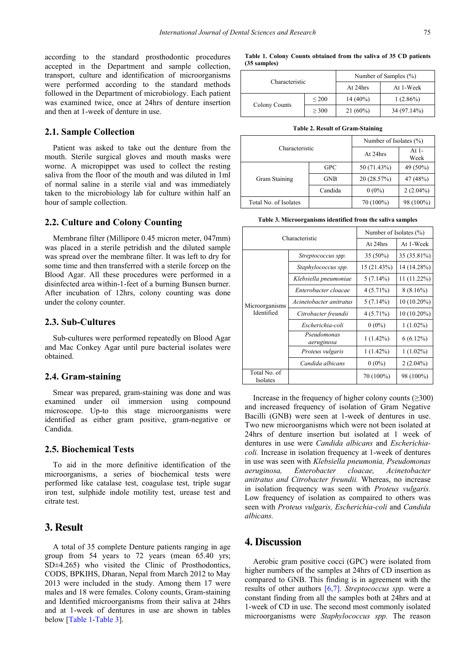according to the standard prosthodontic procedures accepted in the Department and sample collection, transport, culture and identification of microorganisms were performed according to the standard methods followed in the Department of microbiology. Each patient was examined twice, once at 24hrs of denture insertion and then at 1-week of denture in use.

### **2.1. Sample Collection**

Patient was asked to take out the denture from the mouth. Sterile surgical gloves and mouth masks were worne. A micropippet was used to collect the resting saliva from the floor of the mouth and was diluted in 1ml of normal saline in a sterile vial and was immediately taken to the microbiology lab for culture within half an hour of sample collection.

#### **2.2. Culture and Colony Counting**

Membrane filter (Millipore 0.45 micron meter, 047mm) was placed in a sterile petridish and the diluted sample was spread over the membrane filter. It was left to dry for some time and then transferred with a sterile forcep on the Blood Agar. All these procedures were performed in a disinfected area within-1-feet of a burning Bunsen burner. After incubation of 12hrs, colony counting was done under the colony counter.

#### **2.3. Sub-Cultures**

Sub-cultures were performed repeatedly on Blood Agar and Mac Conkey Agar until pure bacterial isolates were obtained.

#### **2.4. Gram-staining**

Smear was prepared, gram-staining was done and was examined under oil immersion using compound microscope. Up-to this stage microorganisms were identified as either gram positive, gram-negative or Candida.

#### **2.5. Biochemical Tests**

To aid in the more definitive identification of the microorganisms, a series of biochemical tests were performed like catalase test, coagulase test, triple sugar iron test, sulphide indole motility test, urease test and citrate test.

## **3. Result**

A total of 35 complete Denture patients ranging in age group from 54 years to 72 years (mean 65.40 yrs; SD±4.265) who visited the Clinic of Prosthodontics, CODS, BPKIHS, Dharan, Nepal from March 2012 to May 2013 were included in the study. Among them 17 were males and 18 were females. Colony counts, Gram-staining and Identified microorganisms from their saliva at 24hrs and at 1-week of dentures in use are shown in tables below [\[Table 1](#page-1-0)[-Table 3\]](#page-1-1).

| Table 1. Colony Counts obtained from the saliva of 35 CD patients |  |  |  |  |
|-------------------------------------------------------------------|--|--|--|--|
| $(35$ samples)                                                    |  |  |  |  |

<span id="page-1-0"></span>

|                      |            | Number of Samples (%) |             |  |
|----------------------|------------|-----------------------|-------------|--|
| Characteristic       |            | At 24hrs              | At 1-Week   |  |
| <b>Colony Counts</b> | $\leq$ 200 | $14(40\%)$            | $1(2.86\%)$ |  |
|                      | > 300      | $21(60\%)$            | 34 (97.14%) |  |

|  |  | <b>Table 2. Result of Gram-Staining</b> |  |  |  |  |  |
|--|--|-----------------------------------------|--|--|--|--|--|
|--|--|-----------------------------------------|--|--|--|--|--|

|                       | Number of Isolates $(\% )$ |                 |             |
|-----------------------|----------------------------|-----------------|-------------|
| Characteristic        | At 24hrs                   | At $1-$<br>Week |             |
| Gram Staining         | <b>GPC</b>                 | 50 (71.43%)     | 49 (50%)    |
|                       | <b>GNB</b>                 | 20 (28.57%)     | 47 (48%)    |
|                       | Candida                    | $0(0\%)$        | $2(2.04\%)$ |
| Total No. of Isolates |                            | 70 (100%)       | 98 (100%)   |

| Table 3. Microorganisms identified from the saliva samples |  |  |
|------------------------------------------------------------|--|--|
|                                                            |  |  |

<span id="page-1-1"></span>

| Characteristic               |                           | Number of Isolates (%) |               |  |
|------------------------------|---------------------------|------------------------|---------------|--|
|                              |                           | At 24hrs               | At 1-Week     |  |
| Microorganisms<br>Identified | Streptococcus spp.        | $35(50\%)$             | 35 (35.81%)   |  |
|                              | Staphylococcus spp.       | 15 (21.43%)            | 14 (14.28%)   |  |
|                              | Klebsiella pneumoniae     | $5(7.14\%)$            | 11 (11.22%)   |  |
|                              | Enterobacter cloacae      | $4(5.71\%)$            | $8(8.16\%)$   |  |
|                              | Acinetobacter anitratus   | $5(7.14\%)$            | $10(10.20\%)$ |  |
|                              | Citrobacter freundii      | $4(5.71\%)$            | $10(10.20\%)$ |  |
|                              | Escherichia-coli          | $0(0\%)$               | $1(1.02\%)$   |  |
|                              | Pseudomonas<br>aeruginosa | $1(1.42\%)$            | $6(6.12\%)$   |  |
|                              | Proteus vulgaris          | $1(1.42\%)$            | $1(1.02\%)$   |  |
|                              | Candida albicans          | $0(0\%)$               | $2(2.04\%)$   |  |
| Total No. of<br>Isolates     |                           | 70 (100%)              | 98 (100%)     |  |

Increase in the frequency of higher colony counts  $(\geq 300)$ and increased frequency of isolation of Gram Negative Bacilli (GNB) were seen at 1-week of dentures in use. Two new microorganisms which were not been isolated at 24hrs of denture insertion but isolated at 1 week of dentures in use were *Candida albicans* and *Escherichiacoli.* Increase in isolation frequency at 1-week of dentures in use was seen with *Klebsiella pneumonia, Pseudomonas aeruginosa, Enterobacter cloacae, Acinetobacter anitratus and Citrobacter freundii.* Whereas, no increase in isolation frequency was seen with *Proteus vulgaris.*  Low frequency of isolation as compaired to others was seen with *Proteus vulgaris, Escherichia-coli* and *Candida albicans.*

## **4. Discussion**

Aerobic gram positive cocci (GPC) were isolated from higher numbers of the samples at 24hrs of CD insertion as compared to GNB. This finding is in agreement with the results of other authors [\[6,7\].](#page-2-3) *Streptococcus spp.* were a constant finding from all the samples both at 24hrs and at 1-week of CD in use. The second most commonly isolated microorganisms were *Staphylococcus spp.* The reason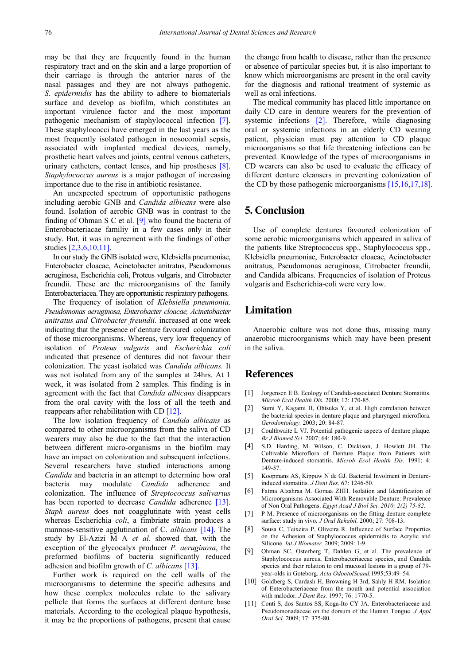may be that they are frequently found in the human respiratory tract and on the skin and a large proportion of their carriage is through the anterior nares of the nasal passages and they are not always pathogenic. *S. epidermidis* has the ability to adhere to biomaterials surface and develop as biofilm, which constitutes an important virulence factor and the most important pathogenic mechanism of staphylococcal infection [\[7\].](#page-2-4) These staphylococci have emerged in the last years as the most frequently isolated pathogen in nosocomial sepsis, associated with implanted medical devices, namely, prosthetic heart valves and joints, central venous catheters, urinary catheters, contact lenses, and hip prostheses [\[8\].](#page-2-5) *Staphylococcus aureus* is a major pathogen of increasing importance due to the rise in antibiotic resistance.

An unexpected spectrum of opportunistic pathogens including aerobic GNB and *Candida albicans* were also found. Isolation of aerobic GNB was in contrast to the finding of Ohman S C et al. [\[9\]](#page-2-6) who found the bacteria of Enterobacteriacae familiy in a few cases only in their study. But, it was in agreement with the findings of other studies [\[2,3,6,10,11\].](#page-2-7)

In our study the GNB isolated were, Klebsiella pneumoniae, Enterobacter cloacae, Acinetobacter anitratus, Pseudomonas aeruginosa, Escherichia coli, Proteus vulgaris, and Citrobacter freundii. These are the microorganisms of the family Enterobacteriacea. They are opportunistic respiratory pathogens.

The frequency of isolation of *Klebsiella pneumonia, Pseudomonas aeruginosa, Enterobacter cloacae, Acinetobacter anitratus and Citrobacter freundii.* increased at one week indicating that the presence of denture favoured colonization of those microorganisms. Whereas, very low frequency of isolation of *Proteus vulgaris* and *Escherichia coli*  indicated that presence of dentures did not favour their colonization. The yeast isolated was *Candida albicans.* It was not isolated from any of the samples at 24hrs. At 1 week, it was isolated from 2 samples. This finding is in agreement with the fact that *Candida albicans* disappears from the oral cavity with the loss of all the teeth and reappears after rehabilitation with CD [\[12\].](#page-3-0) 

The low isolation frequency of *Candida albicans* as compared to other microorganisms from the saliva of CD wearers may also be due to the fact that the interaction between different micro-organisms in the biofilm may have an impact on colonization and subsequent infections. Several researchers have studied interactions among *Candida* and bacteria in an attempt to determine how oral bacteria may modulate *Candida* adherence and colonization. The influence of *Streptococcus salivarius*  has been reported to decrease *Candida* adherence [\[13\].](#page-3-1) *Staph aureus* does not coagglutinate with yeast cells whereas Escherichia *coli*, a fimbriate strain produces a mannose-sensitive agglutination of C. *albicans* [\[14\].](#page-3-2) The study by El-Azizi M A *et al.* showed that, with the exception of the glycocalyx producer *P. aeruginosa*, the preformed biofilms of bacteria significantly reduced adhesion and biofilm growth of *C. albicans* [\[13\].](#page-3-1)

Further work is required on the cell walls of the microorganisms to determine the specific adhesins and how these complex molecules relate to the salivary pellicle that forms the surfaces at different denture base materials. According to the ecological plaque hypothesis, it may be the proportions of pathogens, present that cause the change from health to disease, rather than the presence or absence of particular species but, it is also important to know which microorganisms are present in the oral cavity for the diagnosis and rational treatment of systemic as well as oral infections.

The medical community has placed little importance on daily CD care in denture wearers for the prevention of systemic infections [\[2\].](#page-2-7) Therefore, while diagnosing oral or systemic infections in an elderly CD wearing patient, physician must pay attention to CD plaque microorganisms so that life threatening infections can be prevented. Knowledge of the types of microorganisms in CD wearers can also be used to evaluate the efficacy of different denture cleansers in preventing colonization of the CD by those pathogenic microorganisms [\[15,16,17,18\].](#page-3-3)

## **5. Conclusion**

Use of complete dentures favoured colonization of some aerobic microorganisms which appeared in saliva of the patients like Streptococcus spp., Staphylococcus spp., Klebsiella pneumoniae, Enterobacter cloacae, Acinetobacter anitratus, Pseudomonas aeruginosa, Citrobacter freundii, and Candida albicans. Frequencies of isolation of Proteus vulgaris and Escherichia-coli were very low.

## **Limitation**

Anaerobic culture was not done thus, missing many anaerobic microorganisms which may have been present in the saliva.

## **References**

- <span id="page-2-0"></span>[1] Jorgensen E B. Ecology of Candida-associated Denture Stomatitis. *Microb Ecol Health Dis.* 2000; 12: 170-85.
- <span id="page-2-7"></span>[2] Sumi Y, Kagami H, Ohtsuka Y, et al. High correlation between the bacterial species in denture plaque and pharyngeal microflora. *Gerodontology.* 2003; 20: 84-87.
- <span id="page-2-1"></span>[3] Coulthwaite L VJ. Potential pathogenic aspects of denture plaque. *Br J Biomed Sci.* 2007; 64: 180-9.
- <span id="page-2-2"></span>[4] S.D. Harding, M. Wilson, C. Dickison, J. Howlett JH. The Cultivable Microflora of Denture Plaque from Patients with Denture-induced stomatitis. *Microb Ecol Health Dis.* 1991; 4: 149-57.
- [5] Koopmans AS, Kippuw N de GJ. Bacterial Involment in Dentureinduced stomatitis. *J Dent Res*. 67: 1246-50.
- <span id="page-2-3"></span>[6] Fatma Alzahraa M. Gomaa ZHH. Isolation and Identification of Microorganisms Associated With Removable Denture: Prevalence of Non Oral Pathogens. *Egypt Acad J Biol Sci. 2010; 2(2) 75-82*.
- <span id="page-2-4"></span>[7] P M. Presence of microorganisms on the fitting denture complete surface: study in vivo. *J Oral Rehabil.* 2000; 27: 708-13.
- <span id="page-2-5"></span>[8] Sousa C, Teixeira P, Oliveira R. Influence of Surface Properties on the Adhesion of Staphylococcus epidermidis to Acrylic and Silicone. *Int J Biomater.* 2009; 2009: 1-9.
- <span id="page-2-6"></span>[9] Ohman SC, Osterberg T, Dahlen G, et al. The prevalence of Staphylococcus aureus, Enterobacteriaceae species, and Candida species and their relation to oral mucosal lesions in a group of 79 year-olds in Goteborg. *Acta OdontolScand.*1995;53:49–54.
- [10] Goldberg S, Cardash H, Browning H 3rd, Sahly H RM. Isolation of Enterobacteriaceae from the mouth and potential association with malodor. *J Dent Res.* 1997; 76: 1770-5.
- [11] Conti S, dos Santos SS, Koga-Ito CY JA. Enterobacteriaceae and Pseudomonadaceae on the dorsum of the Human Tongue. *J Appl Oral Sci.* 2009; 17: 375-80.